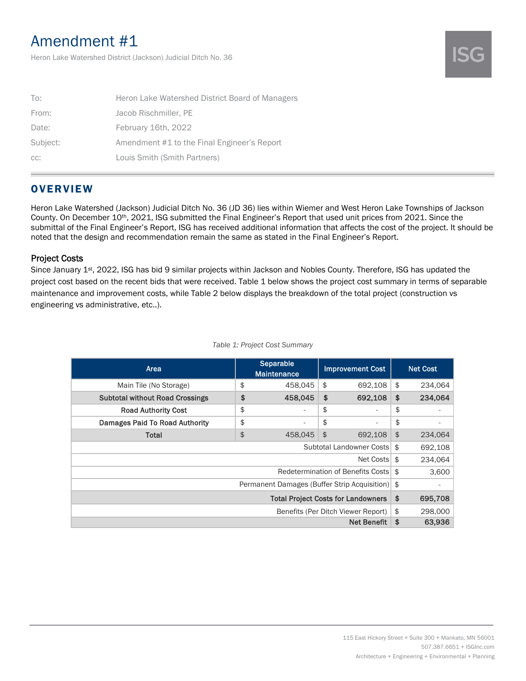# Amendment #1

Heron Lake Watershed District (Jackson) Judicial Ditch No. 36

| To:      | Heron Lake Watershed District Board of Managers |
|----------|-------------------------------------------------|
| From:    | Jacob Rischmiller, PE                           |
| Date:    | February 16th, 2022                             |
| Subject: | Amendment #1 to the Final Engineer's Report     |
| CC:      | Louis Smith (Smith Partners)                    |

## **OVERVIEW**

Heron Lake Watershed (Jackson) Judicial Ditch No. 36 (JD 36) lies within Wiemer and West Heron Lake Townships of Jackson County. On December 10th, 2021, ISG submitted the Final Engineer's Report that used unit prices from 2021. Since the submittal of the Final Engineer's Report, ISG has received additional information that affects the cost of the project. It should be noted that the design and recommendation remain the same as stated in the Final Engineer's Report.

### Project Costs

Since January 1st, 2022, ISG has bid 9 similar projects within Jackson and Nobles County. Therefore, ISG has updated the project cost based on the recent bids that were received. Table 1 below shows the project cost summary in terms of separable maintenance and improvement costs, while Table 2 below displays the breakdown of the total project (construction vs engineering vs administrative, etc..).

| Area                                            |    | Separable<br><b>Maintenance</b> |                | <b>Improvement Cost</b> |               | <b>Net Cost</b> |
|-------------------------------------------------|----|---------------------------------|----------------|-------------------------|---------------|-----------------|
| Main Tile (No Storage)                          | \$ | 458.045                         | \$             | 692.108                 | \$            | 234.064         |
| <b>Subtotal without Road Crossings</b>          | \$ | 458.045                         | \$             | 692,108                 | \$            | 234,064         |
| <b>Road Authority Cost</b>                      | \$ | $\overline{\phantom{a}}$        | \$             | ٠                       | \$            |                 |
| Damages Paid To Road Authority                  | \$ | ٠                               | \$             | ٠                       | \$            |                 |
| Total                                           | \$ | 458,045                         | $\mathfrak{S}$ | 692.108                 | $\frac{1}{2}$ | 234.064         |
| Subtotal Landowner Costs                        |    |                                 |                |                         |               | 692,108         |
| Net Costs                                       |    |                                 |                |                         | \$            | 234.064         |
| Redetermination of Benefits Costs               |    |                                 |                | \$                      | 3,600         |                 |
| Permanent Damages (Buffer Strip Acquisition) \$ |    |                                 |                |                         |               |                 |
| <b>Total Project Costs for Landowners</b>       |    |                                 |                |                         | \$            | 695,708         |
| Benefits (Per Ditch Viewer Report)              |    |                                 |                |                         | \$            | 298,000         |
| <b>Net Benefit</b>                              |    |                                 |                |                         | \$            | 63,936          |

#### *Table 1: Project Cost Summary*